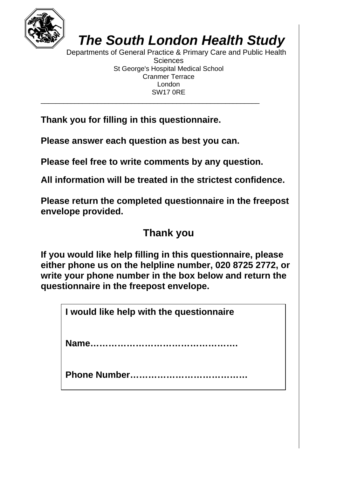

*The South London Health Study* 

Departments of General Practice & Primary Care and Public Health **Sciences** St George's Hospital Medical School Cranmer Terrace London SW17 0RE

**Thank you for filling in this questionnaire.** 

**Please answer each question as best you can.** 

**Please feel free to write comments by any question.** 

\_\_\_\_\_\_\_\_\_\_\_\_\_\_\_\_\_\_\_\_\_\_\_\_\_\_\_\_\_\_\_\_\_\_\_\_\_\_\_\_\_\_\_\_\_\_\_\_\_\_\_\_\_\_\_\_\_\_

**All information will be treated in the strictest confidence.**

**Please return the completed questionnaire in the freepost envelope provided.** 

### **Thank you**

**If you would like help filling in this questionnaire, please either phone us on the helpline number, 020 8725 2772, or write your phone number in the box below and return the questionnaire in the freepost envelope.** 

**I would like help with the questionnaire** 

**Name………………………………………….** 

**Phone Number…………………………………**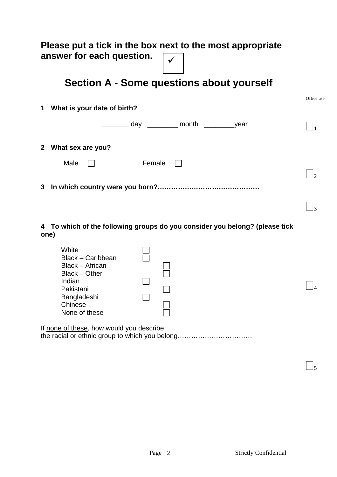| Please put a tick in the box next to the most appropriate<br>answer for each question.                                           |            |
|----------------------------------------------------------------------------------------------------------------------------------|------------|
| <b>Section A - Some questions about yourself</b>                                                                                 |            |
| What is your date of birth?<br>1                                                                                                 | Office use |
| ________ day _________ month ____________year                                                                                    |            |
| What sex are you?<br>$\mathbf{2}$                                                                                                |            |
| Female<br>Male                                                                                                                   |            |
| 3                                                                                                                                |            |
|                                                                                                                                  |            |
| 4 To which of the following groups do you consider you belong? (please tick<br>one)                                              |            |
| White<br>Black - Caribbean<br>Black - African<br>Black - Other<br>Indian<br>Pakistani<br>Bangladeshi<br>Chinese<br>None of these | ∃4         |
| If none of these, how would you describe<br>the racial or ethnic group to which you belong                                       |            |
|                                                                                                                                  |            |
|                                                                                                                                  |            |

 $\overline{\phantom{a}}$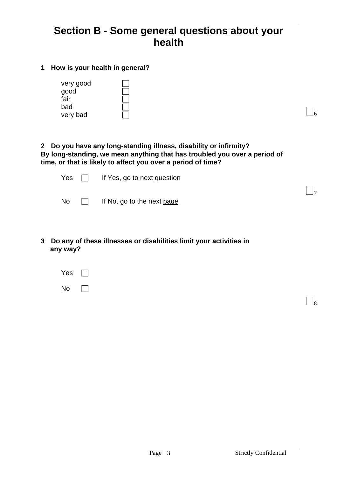### **Section B - Some general questions about your health**

#### **1 How is your health in general?**

| very good |  |
|-----------|--|
| good      |  |
| fair      |  |
| bad       |  |
| very bad  |  |

| 2 Do you have any long-standing illness, disability or infirmity?         |
|---------------------------------------------------------------------------|
| By long-standing, we mean anything that has troubled you over a period of |
| time, or that is likely to affect you over a period of time?              |

|  | $Yes \tIf Yes, go to next question$  |
|--|--------------------------------------|
|  | No $\Box$ If No, go to the next page |

**3 Do any of these illnesses or disabilities limit your activities in any way?**

| Yes |  |
|-----|--|
| No  |  |

 $\vert_6$ 

 $\vert$ 7

8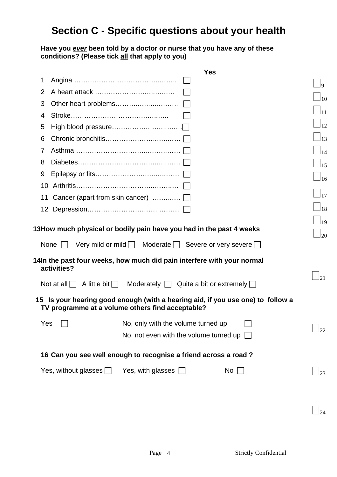### **Section C - Specific questions about your health**

**Have you** *ever* **been told by a doctor or nurse that you have any of these conditions? (Please tick all that apply to you)** 

|      |                                                                                                                                  |                                                   | <b>Yes</b>                   |    |                 |
|------|----------------------------------------------------------------------------------------------------------------------------------|---------------------------------------------------|------------------------------|----|-----------------|
| 1    |                                                                                                                                  |                                                   |                              |    | 9               |
| 2    |                                                                                                                                  |                                                   |                              |    | 10              |
| 3    |                                                                                                                                  |                                                   |                              |    |                 |
| 4    |                                                                                                                                  |                                                   |                              |    | $\overline{11}$ |
| 5    |                                                                                                                                  |                                                   |                              |    | 12              |
| 6    |                                                                                                                                  |                                                   |                              |    | 13              |
| 7    |                                                                                                                                  |                                                   |                              |    | 14              |
| 8    |                                                                                                                                  |                                                   |                              |    | 15              |
| 9    |                                                                                                                                  |                                                   |                              |    | 16              |
| 10   |                                                                                                                                  |                                                   |                              |    |                 |
| 11   | Cancer (apart from skin cancer) $\dots\dots\dots\dots \square$                                                                   |                                                   |                              |    | 17              |
|      |                                                                                                                                  |                                                   |                              |    | 18              |
|      | 13How much physical or bodily pain have you had in the past 4 weeks                                                              |                                                   |                              |    | 19              |
|      |                                                                                                                                  |                                                   |                              |    | 20              |
| None | Very mild or mild $\Box$ Moderate $\Box$                                                                                         |                                                   | Severe or very severe $\Box$ |    |                 |
|      | 14In the past four weeks, how much did pain interfere with your normal<br>activities?                                            |                                                   |                              |    |                 |
|      | A little bit $\Box$<br>Not at all $\Box$                                                                                         | Moderately $\Box$ Quite a bit or extremely $\Box$ |                              |    | 21              |
| 15   | Is your hearing good enough (with a hearing aid, if you use one) to follow a<br>TV programme at a volume others find acceptable? |                                                   |                              |    |                 |
| Yes  |                                                                                                                                  | No, only with the volume turned up                |                              |    |                 |
|      |                                                                                                                                  | No, not even with the volume turned up            |                              |    | 22              |
|      | 16 Can you see well enough to recognise a friend across a road?                                                                  |                                                   |                              |    |                 |
|      |                                                                                                                                  |                                                   |                              |    |                 |
|      | Yes, without glasses $\Box$                                                                                                      | Yes, with glasses $\Box$                          |                              | No | $\overline{23}$ |
|      |                                                                                                                                  |                                                   |                              |    |                 |
|      |                                                                                                                                  |                                                   |                              |    | 24              |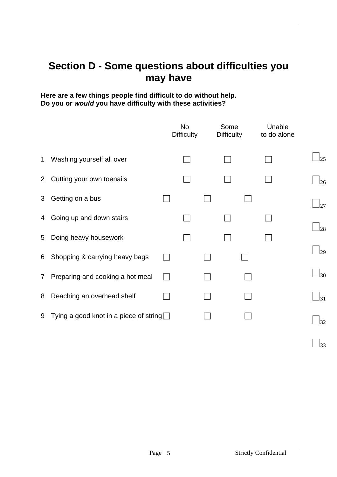### **Section D - Some questions about difficulties you may have**

#### **Here are a few things people find difficult to do without help. Do you or** *would* **you have difficulty with these activities?**

|                |                                               | No<br><b>Difficulty</b> | Some<br><b>Difficulty</b> | Unable<br>to do alone |                 |
|----------------|-----------------------------------------------|-------------------------|---------------------------|-----------------------|-----------------|
| $\mathbf 1$    | Washing yourself all over                     |                         |                           |                       | $\frac{1}{25}$  |
| $\mathbf{2}$   | Cutting your own toenails                     |                         |                           |                       | $\frac{1}{26}$  |
| 3              | Getting on a bus                              |                         |                           |                       | $\frac{1}{27}$  |
| 4              | Going up and down stairs                      |                         |                           |                       |                 |
| 5              | Doing heavy housework                         |                         |                           |                       | $\frac{1}{28}$  |
| 6              | Shopping & carrying heavy bags                |                         |                           |                       | $\frac{1}{29}$  |
| $\overline{7}$ | Preparing and cooking a hot meal              |                         |                           |                       | $\frac{1}{30}$  |
| 8              | Reaching an overhead shelf                    |                         |                           |                       | $\frac{1}{31}$  |
| 9              | Tying a good knot in a piece of string $\Box$ |                         |                           |                       | $\overline{32}$ |
|                |                                               |                         |                           |                       |                 |

 $|33\rangle$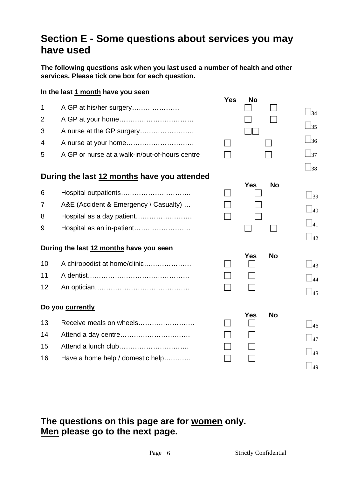### **Section E - Some questions about services you may have used**

**The following questions ask when you last used a number of health and other services. Please tick one box for each question.** 

#### **In the last 1 month have you seen**

|                |                                                | <b>Yes</b> | <b>No</b>  |           |                  |
|----------------|------------------------------------------------|------------|------------|-----------|------------------|
| 1              | A GP at his/her surgery                        |            |            |           | $\Box$ 34        |
| $\overline{2}$ |                                                |            |            |           |                  |
| 3              |                                                |            |            |           | $\vert 35 \vert$ |
| $\overline{4}$ |                                                |            |            |           | $\frac{36}{3}$   |
| 5              | A GP or nurse at a walk-in/out-of-hours centre |            |            |           | $\frac{1}{37}$   |
|                |                                                |            |            |           | $\frac{1}{38}$   |
|                | During the last 12 months have you attended    |            |            |           |                  |
| 6              |                                                |            | <b>Yes</b> | <b>No</b> | $\sqrt{39}$      |
| $\overline{7}$ | A&E (Accident & Emergency \ Casualty)          |            |            |           | 40               |
| 8              |                                                |            |            |           |                  |
| 9              | Hospital as an in-patient                      |            |            |           | 41               |
|                |                                                |            |            |           | 42               |
|                | During the last 12 months have you seen        |            | <b>Yes</b> | <b>No</b> |                  |
| 10             | A chiropodist at home/clinic                   |            |            |           | $ 43\rangle$     |
| 11             |                                                |            |            |           | 44               |
| 12             |                                                |            |            |           | $ 45\rangle$     |
|                |                                                |            |            |           |                  |
|                | Do you currently                               |            | <b>Yes</b> | <b>No</b> |                  |
| 13             | Receive meals on wheels                        |            |            |           | $\frac{1}{46}$   |
| 14             | Attend a day centre                            |            |            |           | 47               |
| 15             | Attend a lunch club                            |            |            |           | 48               |
| 16             | Have a home help / domestic help               |            |            |           |                  |
|                |                                                |            |            |           | 49               |

#### **The questions on this page are for women only. Men please go to the next page.**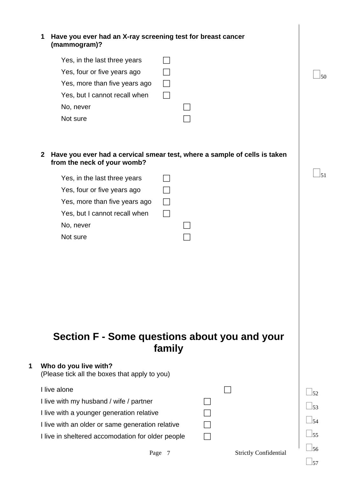| Have you ever had an X-ray screening test for breast cancer<br>(mammogram)? |  |
|-----------------------------------------------------------------------------|--|
| Yes, in the last three years                                                |  |
| Yes, four or five years ago                                                 |  |

| Yes, more than five years ago |  |
|-------------------------------|--|
| Yes, but I cannot recall when |  |
| No, never                     |  |
| Not sure                      |  |

#### **2 Have you ever had a cervical smear test, where a sample of cells is taken from the neck of your womb?**

| Yes, in the last three years  |  |
|-------------------------------|--|
| Yes, four or five years ago   |  |
| Yes, more than five years ago |  |
| Yes, but I cannot recall when |  |
| No, never                     |  |
| Not sure                      |  |

### **Section F - Some questions about you and your family**

#### $\frac{52}{32}$  $\vert$ 53  $\sqrt{54}$ <sup>55</sup> <sup>56</sup> **1 Who do you live with?**  (Please tick all the boxes that apply to you) I live alone  $\Box$ I live with my husband / wife / partner  $\Box$ I live with a younger generation relative  $\Box$ I live with an older or same generation relative  $\Box$ I live in sheltered accomodation for older people  $\Box$ Page 7 Strictly Confidential

 $\vert$ 57

 $\overline{50}$ 

 $\sqrt{51}$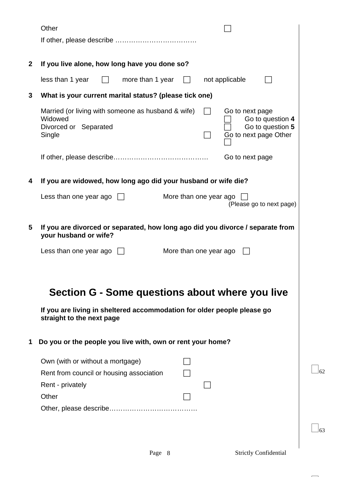|              | Other                                                                                                                                                                                |
|--------------|--------------------------------------------------------------------------------------------------------------------------------------------------------------------------------------|
|              |                                                                                                                                                                                      |
|              |                                                                                                                                                                                      |
| $\mathbf{2}$ | If you live alone, how long have you done so?                                                                                                                                        |
|              | less than 1 year<br>more than 1 year<br>not applicable                                                                                                                               |
| 3            | What is your current marital status? (please tick one)                                                                                                                               |
|              | Married (or living with someone as husband & wife)<br>Go to next page<br>Widowed<br>Go to question 4<br>Go to question 5<br>Divorced or Separated<br>Go to next page Other<br>Single |
|              | Go to next page                                                                                                                                                                      |
| 4            | If you are widowed, how long ago did your husband or wife die?                                                                                                                       |
|              | More than one year ago<br>Less than one year ago $\vert \ \vert$<br>(Please go to next page)                                                                                         |
| 5            | If you are divorced or separated, how long ago did you divorce / separate from<br>your husband or wife?                                                                              |
|              | More than one year ago<br>Less than one year ago                                                                                                                                     |
|              |                                                                                                                                                                                      |
|              | Section G - Some questions about where you live                                                                                                                                      |
|              | If you are living in sheltered accommodation for older people please go<br>straight to the next page                                                                                 |
| 1            | Do you or the people you live with, own or rent your home?                                                                                                                           |
|              | Own (with or without a mortgage)<br>Rent from council or housing association                                                                                                         |
|              | Rent - privately                                                                                                                                                                     |
|              | Other                                                                                                                                                                                |
|              |                                                                                                                                                                                      |
|              |                                                                                                                                                                                      |
|              |                                                                                                                                                                                      |

 $\Box_{62}$ 

 $\Box_{63}$ 

 $\overline{\phantom{0}}$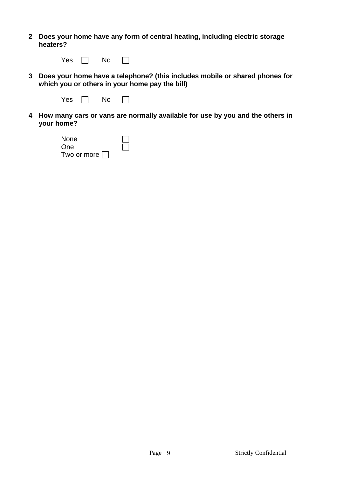**2 Does your home have any form of central heating, including electric storage heaters?** 

| Yes | No |  |
|-----|----|--|
|-----|----|--|

**3 Does your home have a telephone? (this includes mobile or shared phones for which you or others in your home pay the bill)** 

| ν<br>es | No |  |
|---------|----|--|
|---------|----|--|

**4 How many cars or vans are normally available for use by you and the others in your home?** 

| None               |  |
|--------------------|--|
| One                |  |
| Two or more $\Box$ |  |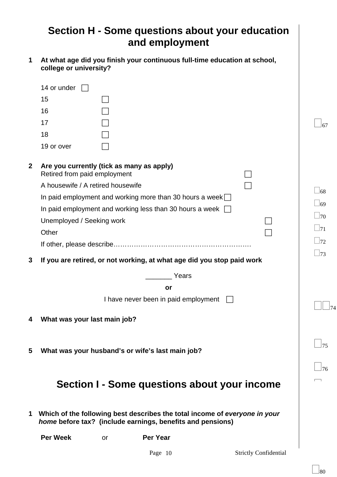|              |                                                                                                                                                                                                                                                                                            | and employment                             | Section H - Some questions about your education |                                                                            |
|--------------|--------------------------------------------------------------------------------------------------------------------------------------------------------------------------------------------------------------------------------------------------------------------------------------------|--------------------------------------------|-------------------------------------------------|----------------------------------------------------------------------------|
| $\mathbf 1$  | At what age did you finish your continuous full-time education at school,<br>college or university?                                                                                                                                                                                        |                                            |                                                 |                                                                            |
|              | 14 or under<br>15<br>16<br>17<br>18<br>19 or over                                                                                                                                                                                                                                          |                                            |                                                 | 67                                                                         |
| $\mathbf{2}$ | Are you currently (tick as many as apply)<br>Retired from paid employment<br>A housewife / A retired housewife<br>In paid employment and working more than 30 hours a week $\Box$<br>In paid employment and working less than 30 hours a week $\Box$<br>Unemployed / Seeking work<br>Other |                                            |                                                 | $\Box$ 68<br>$\Box$ 69<br>$\Box$ 70<br>$\Box$ 71<br>$\Box$ 72<br>$\Box$ 73 |
| 3            | If you are retired, or not working, at what age did you stop paid work                                                                                                                                                                                                                     |                                            |                                                 |                                                                            |
|              |                                                                                                                                                                                                                                                                                            | Years                                      |                                                 |                                                                            |
|              |                                                                                                                                                                                                                                                                                            | or<br>I have never been in paid employment |                                                 |                                                                            |
| 4            | What was your last main job?                                                                                                                                                                                                                                                               |                                            |                                                 |                                                                            |
| 5            | What was your husband's or wife's last main job?                                                                                                                                                                                                                                           |                                            |                                                 | 75<br>76                                                                   |
|              |                                                                                                                                                                                                                                                                                            |                                            | Section I - Some questions about your income    |                                                                            |
| 1            | Which of the following best describes the total income of everyone in your<br>home before tax? (include earnings, benefits and pensions)                                                                                                                                                   |                                            |                                                 |                                                                            |
|              | <b>Per Week</b><br><b>or</b>                                                                                                                                                                                                                                                               | <b>Per Year</b>                            |                                                 |                                                                            |
|              |                                                                                                                                                                                                                                                                                            | Page 10                                    | <b>Strictly Confidential</b>                    |                                                                            |

 $\Box_{80}$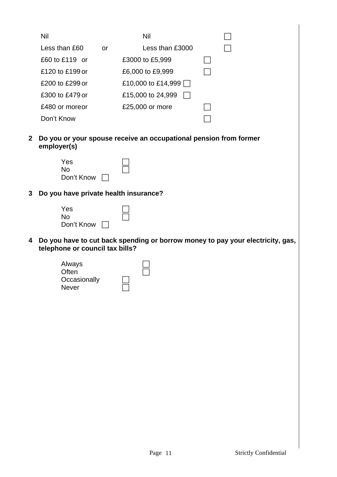| Nil             |    | Nil                |  |  |
|-----------------|----|--------------------|--|--|
| Less than £60   | or | Less than £3000    |  |  |
| £60 to £119 or  |    | £3000 to £5,999    |  |  |
| £120 to £199 or |    | £6,000 to £9,999   |  |  |
| £200 to £299 or |    | £10,000 to £14,999 |  |  |
| £300 to £479 or |    | £15,000 to 24,999  |  |  |
| £480 or moreor  |    | £25,000 or more    |  |  |
| Don't Know      |    |                    |  |  |

**2 Do you or your spouse receive an occupational pension from former employer(s)** 

| Yes        |  |
|------------|--|
| N٥         |  |
| Don't Know |  |

**3 Do you have private health insurance?** 

| Yes          |  |
|--------------|--|
| Nο           |  |
| Don't Know [ |  |

**4 Do you have to cut back spending or borrow money to pay your electricity, gas, telephone or council tax bills?** 

| Always<br>Often |  |
|-----------------|--|
| Occasionally    |  |
| <b>Never</b>    |  |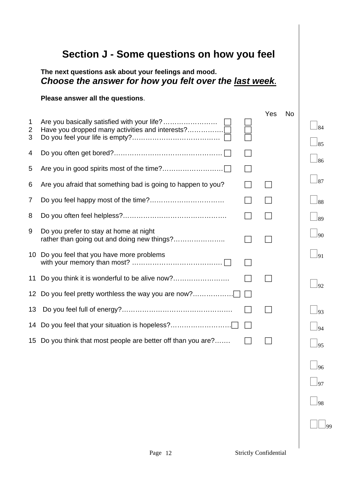### **Section J - Some questions on how you feel**

#### **The next questions ask about your feelings and mood.**  *Choose the answer for how you felt over the last week***.**

#### **Please answer all the questions**.

|                       |                                                                                       | Yes | <b>No</b> |             |
|-----------------------|---------------------------------------------------------------------------------------|-----|-----------|-------------|
| $\mathbf 1$<br>2<br>3 | Have you dropped many activities and interests?                                       |     |           | $\sqrt{84}$ |
|                       |                                                                                       |     |           | $\sqrt{85}$ |
| 4                     |                                                                                       |     |           | $\sqrt{86}$ |
| 5                     |                                                                                       |     |           |             |
| 6                     | Are you afraid that something bad is going to happen to you?                          |     |           | $\sqrt{87}$ |
| $\overline{7}$        |                                                                                       |     |           | $\sqrt{88}$ |
| 8                     |                                                                                       |     |           | 89          |
| 9                     | Do you prefer to stay at home at night<br>rather than going out and doing new things? |     |           | $\sqrt{90}$ |
|                       | 10 Do you feel that you have more problems                                            |     |           | $\sqrt{91}$ |
|                       | 11 Do you think it is wonderful to be alive now?                                      |     |           | 92          |
|                       | 12 Do you feel pretty worthless the way you are now?                                  |     |           |             |
| 13                    |                                                                                       |     |           | $\sqrt{93}$ |
|                       | 14 Do you feel that your situation is hopeless?                                       |     |           | 94          |
|                       | 15 Do you think that most people are better off than you are?                         |     |           | 95          |

<sup>96</sup>

 $\vert_{97}$ 

 $\log$ 

 $\overline{99}$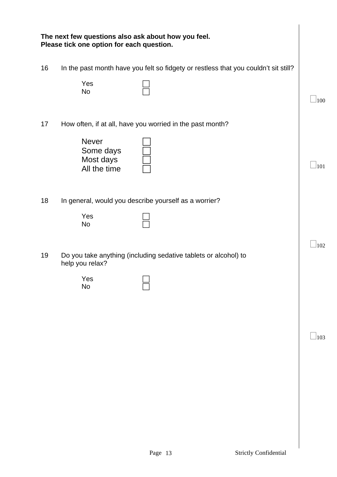|    | The next few questions also ask about how you feel.<br>Please tick one option for each question. |         |                                                                                     |                 |
|----|--------------------------------------------------------------------------------------------------|---------|-------------------------------------------------------------------------------------|-----------------|
| 16 |                                                                                                  |         | In the past month have you felt so fidgety or restless that you couldn't sit still? |                 |
|    | Yes<br><b>No</b>                                                                                 |         |                                                                                     | $\frac{100}{2}$ |
| 17 | How often, if at all, have you worried in the past month?                                        |         |                                                                                     |                 |
|    | <b>Never</b><br>Some days<br>Most days<br>All the time                                           |         |                                                                                     | 101             |
| 18 | In general, would you describe yourself as a worrier?                                            |         |                                                                                     |                 |
|    | Yes<br>No                                                                                        |         |                                                                                     |                 |
| 19 | Do you take anything (including sedative tablets or alcohol) to<br>help you relax?               |         |                                                                                     | 102             |
|    | Yes<br>No                                                                                        |         |                                                                                     |                 |
|    |                                                                                                  |         |                                                                                     |                 |
|    |                                                                                                  |         |                                                                                     | $\frac{103}{}$  |
|    |                                                                                                  |         |                                                                                     |                 |
|    |                                                                                                  |         |                                                                                     |                 |
|    |                                                                                                  |         |                                                                                     |                 |
|    |                                                                                                  | Page 13 | <b>Strictly Confidential</b>                                                        |                 |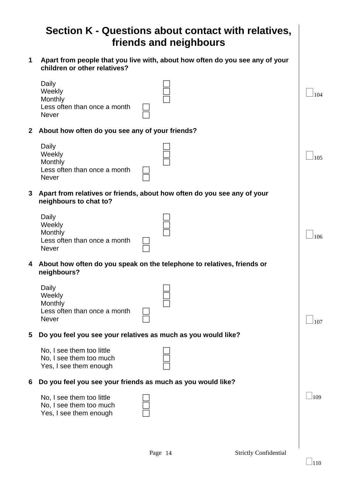|                | Section K - Questions about contact with relatives,<br>friends and neighbours                                |               |
|----------------|--------------------------------------------------------------------------------------------------------------|---------------|
| 1              | Apart from people that you live with, about how often do you see any of your<br>children or other relatives? |               |
|                | Daily<br>Weekly<br>Monthly<br>Less often than once a month<br><b>Never</b>                                   | 104           |
| $\mathbf{2}$   | About how often do you see any of your friends?                                                              |               |
|                | Daily<br>Weekly<br>Monthly<br>Less often than once a month<br><b>Never</b>                                   | 105           |
| 3 <sup>1</sup> | Apart from relatives or friends, about how often do you see any of your<br>neighbours to chat to?            |               |
|                | Daily<br>Weekly<br>Monthly<br>Less often than once a month<br><b>Never</b>                                   | 106           |
|                | 4 About how often do you speak on the telephone to relatives, friends or<br>neighbours?                      |               |
|                | Daily<br>Weekly<br>Monthly<br>Less often than once a month<br><b>Never</b>                                   | 107           |
| $\overline{5}$ | Do you feel you see your relatives as much as you would like?                                                |               |
|                | No, I see them too little<br>No, I see them too much<br>Yes, I see them enough                               |               |
| 6              | Do you feel you see your friends as much as you would like?                                                  |               |
|                | No, I see them too little<br>No, I see them too much<br>Yes, I see them enough                               | $ 109\rangle$ |
|                |                                                                                                              |               |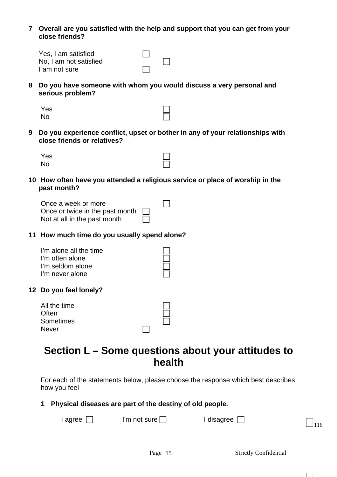#### **7 Overall are you satisfied with the help and support that you can get from your close friends?**

| Yes, I am satisfied    |  |
|------------------------|--|
| No, I am not satisfied |  |
| I am not sure          |  |

**8 Do you have someone with whom you would discuss a very personal and serious problem?** 

| Yes       | – |
|-----------|---|
| <b>No</b> |   |

**9 Do you experience conflict, upset or bother in any of your relationships with close friends or relatives?** 

| Yes | $\Box$ |
|-----|--------|
| No  | $\Box$ |

**10 How often have you attended a religious service or place of worship in the past month?** 

| Once a week or more                    |  |
|----------------------------------------|--|
| Once or twice in the past month $\Box$ |  |
| Not at all in the past month           |  |

**11 How much time do you usually spend alone?** 

| I'm alone all the time |  |
|------------------------|--|
| I'm often alone        |  |
| I'm seldom alone       |  |
| I'm never alone        |  |
|                        |  |

**12 Do you feel lonely?** 

| All the time |  |
|--------------|--|
| Often        |  |
| Sometimes    |  |
| <b>Never</b> |  |

#### **Section L – Some questions about your attitudes to health**

For each of the statements below, please choose the response which best describes how you feel

**1 Physical diseases are part of the destiny of old people.** 

| agree |  |
|-------|--|
|-------|--|

 $\Box$  I'm not sure  $\Box$  I disagree  $\Box$ 

 $|116$ 

 $\Box$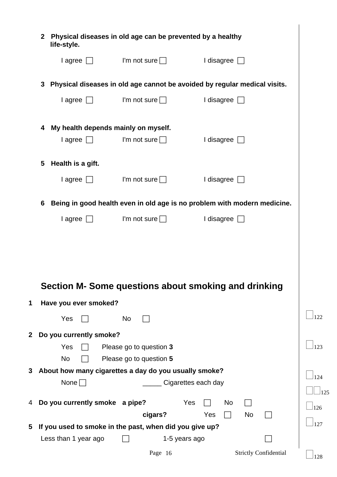|              | Physical diseases in old age can be prevented by a healthy<br>$\boldsymbol{2}$<br>life-style. |                         |                                                                           |                |
|--------------|-----------------------------------------------------------------------------------------------|-------------------------|---------------------------------------------------------------------------|----------------|
|              | $I$ agree $\Box$                                                                              | I'm not sure $\Box$     | I disagree $\Box$                                                         |                |
|              | 3                                                                                             |                         | Physical diseases in old age cannot be avoided by regular medical visits. |                |
|              | $I$ agree $\Box$                                                                              | I'm not sure $\Box$     | I disagree $\Box$                                                         |                |
|              | My health depends mainly on myself.<br>4                                                      |                         |                                                                           |                |
|              | $I$ agree $\Box$                                                                              | I'm not sure $\Box$     | I disagree $\Box$                                                         |                |
|              | 5<br>Health is a gift.                                                                        |                         |                                                                           |                |
|              | $I$ agree $\Box$                                                                              | I'm not sure $\Box$     | I disagree $\Box$                                                         |                |
|              | Being in good health even in old age is no problem with modern medicine.<br>6                 |                         |                                                                           |                |
|              | $I$ agree $\Box$                                                                              | I'm not sure $\Box$     | I disagree $\Box$                                                         |                |
|              |                                                                                               |                         |                                                                           |                |
|              |                                                                                               |                         |                                                                           |                |
|              |                                                                                               |                         |                                                                           |                |
|              |                                                                                               |                         | Section M- Some questions about smoking and drinking                      |                |
| 1            | Have you ever smoked?                                                                         |                         |                                                                           | 122            |
|              | Yes                                                                                           | No                      |                                                                           |                |
| $\mathbf{2}$ | Do you currently smoke?                                                                       |                         |                                                                           |                |
|              | Yes                                                                                           | Please go to question 3 |                                                                           | $\frac{1}{23}$ |
|              | <b>No</b>                                                                                     | Please go to question 5 |                                                                           |                |
| 3            | About how many cigarettes a day do you usually smoke?                                         |                         |                                                                           | 124            |
|              | None $\Box$                                                                                   |                         | __ Cigarettes each day                                                    |                |
| 4            | Do you currently smoke a pipe?                                                                |                         | Yes<br>No                                                                 | 125            |
|              |                                                                                               | cigars?                 | Yes<br>No                                                                 | 126            |
| 5            | If you used to smoke in the past, when did you give up?                                       |                         |                                                                           | $\vert$ 127    |
|              | Less than 1 year ago                                                                          |                         | 1-5 years ago                                                             |                |
|              |                                                                                               | Page 16                 | <b>Strictly Confidential</b>                                              |                |
|              |                                                                                               |                         |                                                                           | 128            |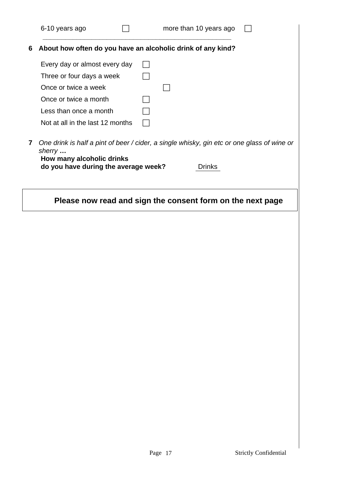|   | 6-10 years ago                                                                                                                    | more than 10 years ago                                      |  |
|---|-----------------------------------------------------------------------------------------------------------------------------------|-------------------------------------------------------------|--|
| 6 |                                                                                                                                   | About how often do you have an alcoholic drink of any kind? |  |
|   | Every day or almost every day                                                                                                     |                                                             |  |
|   | Three or four days a week                                                                                                         |                                                             |  |
|   | Once or twice a week                                                                                                              |                                                             |  |
|   | Once or twice a month                                                                                                             |                                                             |  |
|   | Less than once a month                                                                                                            |                                                             |  |
|   | Not at all in the last 12 months                                                                                                  |                                                             |  |
| 7 | One drink is half a pint of beer / cider, a single whisky, gin etc or one glass of wine or<br>sherry<br>How many alcoholic drinks |                                                             |  |
|   | do you have during the average week?<br><b>Drinks</b>                                                                             |                                                             |  |
|   |                                                                                                                                   |                                                             |  |
|   |                                                                                                                                   | Please now read and sign the consent form on the next page  |  |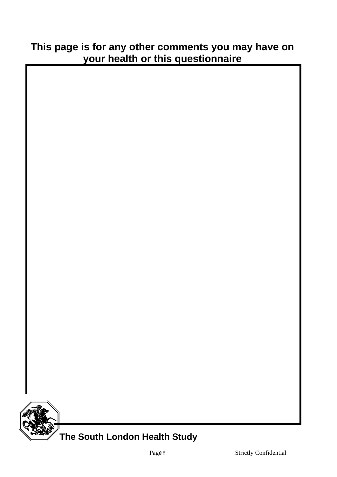### **This page is for any other comments you may have on your health or this questionnaire**